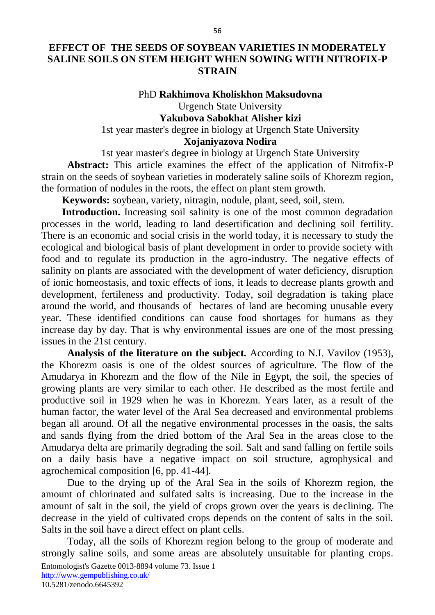# **EFFECT OF THE SEEDS OF SOYBEAN VARIETIES IN MODERATELY SALINE SOILS ON STEM HEIGHT WHEN SOWING WITH NITROFIX-P STRAIN**

### PhD **Rakhimova Kholiskhon Maksudovna**

Urgench State University **Yakubova Sabokhat Alisher kizi**

1st year master's degree in biology at Urgench State University

# **Xojaniyazova Nodira**

1st year master's degree in biology at Urgench State University **Abstract:** This article examines the effect of the application of Nitrofix-P strain on the seeds of soybean varieties in moderately saline soils of Khorezm region, the formation of nodules in the roots, the effect on plant stem growth.

**Keywords:** soybean, variety, nitragin, nodule, plant, seed, soil, stem.

**Introduction.** Increasing soil salinity is one of the most common degradation processes in the world, leading to land desertification and declining soil fertility. There is an economic and social crisis in the world today, it is necessary to study the ecological and biological basis of plant development in order to provide society with food and to regulate its production in the agro-industry. The negative effects of salinity on plants are associated with the development of water deficiency, disruption of ionic homeostasis, and toxic effects of ions, it leads to decrease plants growth and development, fertileness and productivity. Today, soil degradation is taking place around the world, and thousands of hectares of land are becoming unusable every year. These identified conditions can cause food shortages for humans as they increase day by day. That is why environmental issues are one of the most pressing issues in the 21st century.

**Analysis of the literature on the subject.** According to N.I. Vavilov (1953), the Khorezm oasis is one of the oldest sources of agriculture. The flow of the Amudarya in Khorezm and the flow of the Nile in Egypt, the soil, the species of growing plants are very similar to each other. He described as the most fertile and productive soil in 1929 when he was in Khorezm. Years later, as a result of the human factor, the water level of the Aral Sea decreased and environmental problems began all around. Of all the negative environmental processes in the oasis, the salts and sands flying from the dried bottom of the Aral Sea in the areas close to the Amudarya delta are primarily degrading the soil. Salt and sand falling on fertile soils on a daily basis have a negative impact on soil structure, agrophysical and agrochemical composition [6, pp. 41-44].

Due to the drying up of the Aral Sea in the soils of Khorezm region, the amount of chlorinated and sulfated salts is increasing. Due to the increase in the amount of salt in the soil, the yield of crops grown over the years is declining. The decrease in the yield of cultivated crops depends on the content of salts in the soil. Salts in the soil have a direct effect on plant cells.

Entomologist's Gazette 0013-8894 volume 73. Issue 1 <http://www.gempublishing.co.uk/> 10.5281/zenodo.6645392 Today, all the soils of Khorezm region belong to the group of moderate and strongly saline soils, and some areas are absolutely unsuitable for planting crops.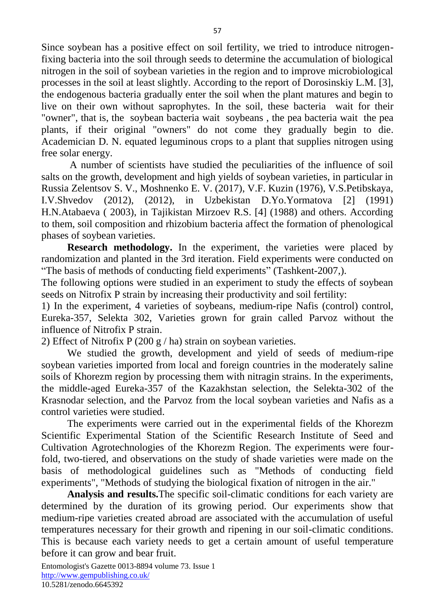Since soybean has a positive effect on soil fertility, we tried to introduce nitrogenfixing bacteria into the soil through seeds to determine the accumulation of biological nitrogen in the soil of soybean varieties in the region and to improve microbiological processes in the soil at least slightly. According to the report of Dorosinskiy L.M. [3], the endogenous bacteria gradually enter the soil when the plant matures and begin to live on their own without saprophytes. In the soil, these bacteria wait for their "owner", that is, the soybean bacteria wait soybeans , the pea bacteria wait the pea plants, if their original "owners" do not come they gradually begin to die. Academician D. N. equated leguminous crops to a plant that supplies nitrogen using free solar energy.

A number of scientists have studied the peculiarities of the influence of soil salts on the growth, development and high yields of soybean varieties, in particular in Russia Zelentsov S. V., Moshnenko E. V. (2017), V.F. Kuzin (1976), V.S.Petibskaya, I.V.Shvedov (2012), (2012), in Uzbekistan D.Yo.Yormatova [2] (1991) H.N.Atabaeva ( 2003), in Tajikistan Mirzoev R.S. [4] (1988) and others. According to them, soil composition and rhizobium bacteria affect the formation of phenological phases of soybean varieties.

**Research methodology.** In the experiment, the varieties were placed by randomization and planted in the 3rd iteration. Field experiments were conducted on "The basis of methods of conducting field experiments" (Tashkent-2007,).

The following options were studied in an experiment to study the effects of soybean seeds on Nitrofix P strain by increasing their productivity and soil fertility:

1) In the experiment, 4 varieties of soybeans, medium-ripe Nafis (control) control, Eureka-357, Selekta 302, Varieties grown for grain called Parvoz without the influence of Nitrofix P strain.

2) Effect of Nitrofix P (200 g / ha) strain on soybean varieties.

We studied the growth, development and yield of seeds of medium-ripe soybean varieties imported from local and foreign countries in the moderately saline soils of Khorezm region by processing them with nitragin strains. In the experiments, the middle-aged Eureka-357 of the Kazakhstan selection, the Selekta-302 of the Krasnodar selection, and the Parvoz from the local soybean varieties and Nafis as a control varieties were studied.

The experiments were carried out in the experimental fields of the Khorezm Scientific Experimental Station of the Scientific Research Institute of Seed and Cultivation Agrotechnologies of the Khorezm Region. The experiments were fourfold, two-tiered, and observations on the study of shade varieties were made on the basis of methodological guidelines such as "Methods of conducting field experiments", "Methods of studying the biological fixation of nitrogen in the air."

**Analysis and results.**The specific soil-climatic conditions for each variety are determined by the duration of its growing period. Our experiments show that medium-ripe varieties created abroad are associated with the accumulation of useful temperatures necessary for their growth and ripening in our soil-climatic conditions. This is because each variety needs to get a certain amount of useful temperature before it can grow and bear fruit.

Entomologist's Gazette 0013-8894 volume 73. Issue 1 <http://www.gempublishing.co.uk/> 10.5281/zenodo.6645392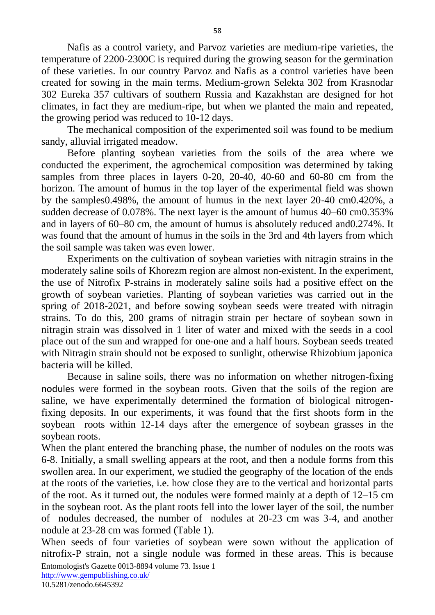Nafis as a control variety, and Parvoz varieties are medium-ripe varieties, the temperature of 2200-2300C is required during the growing season for the germination of these varieties. In our country Parvoz and Nafis as a control varieties have been created for sowing in the main terms. Medium-grown Selekta 302 from Krasnodar 302 Eureka 357 cultivars of southern Russia and Kazakhstan are designed for hot climates, in fact they are medium-ripe, but when we planted the main and repeated, the growing period was reduced to 10-12 days.

The mechanical composition of the experimented soil was found to be medium sandy, alluvial irrigated meadow.

Before planting soybean varieties from the soils of the area where we conducted the experiment, the agrochemical composition was determined by taking samples from three places in layers 0-20, 20-40, 40-60 and 60-80 cm from the horizon. The amount of humus in the top layer of the experimental field was shown by the samples0.498%, the amount of humus in the next layer 20-40 cm0.420%, a sudden decrease of 0.078%. The next layer is the amount of humus 40–60 cm0.353% and in layers of 60–80 cm, the amount of humus is absolutely reduced and0.274%. It was found that the amount of humus in the soils in the 3rd and 4th layers from which the soil sample was taken was even lower.

Experiments on the cultivation of soybean varieties with nitragin strains in the moderately saline soils of Khorezm region are almost non-existent. In the experiment, the use of Nitrofix P-strains in moderately saline soils had a positive effect on the growth of soybean varieties. Planting of soybean varieties was carried out in the spring of 2018-2021, and before sowing soybean seeds were treated with nitragin strains. To do this, 200 grams of nitragin strain per hectare of soybean sown in nitragin strain was dissolved in 1 liter of water and mixed with the seeds in a cool place out of the sun and wrapped for one-one and a half hours. Soybean seeds treated with Nitragin strain should not be exposed to sunlight, otherwise Rhizobium japonica bacteria will be killed.

Because in saline soils, there was no information on whether nitrogen-fixing nodules were formed in the soybean roots. Given that the soils of the region are saline, we have experimentally determined the formation of biological nitrogenfixing deposits. In our experiments, it was found that the first shoots form in the soybean roots within 12-14 days after the emergence of soybean grasses in the soybean roots.

When the plant entered the branching phase, the number of nodules on the roots was 6-8. Initially, a small swelling appears at the root, and then a nodule forms from this swollen area. In our experiment, we studied the geography of the location of the ends at the roots of the varieties, i.e. how close they are to the vertical and horizontal parts of the root. As it turned out, the nodules were formed mainly at a depth of 12–15 cm in the soybean root. As the plant roots fell into the lower layer of the soil, the number of nodules decreased, the number of nodules at 20-23 cm was 3-4, and another nodule at 23-28 cm was formed (Table 1).

Entomologist's Gazette 0013-8894 volume 73. Issue 1 When seeds of four varieties of soybean were sown without the application of nitrofix-P strain, not a single nodule was formed in these areas. This is because

<http://www.gempublishing.co.uk/>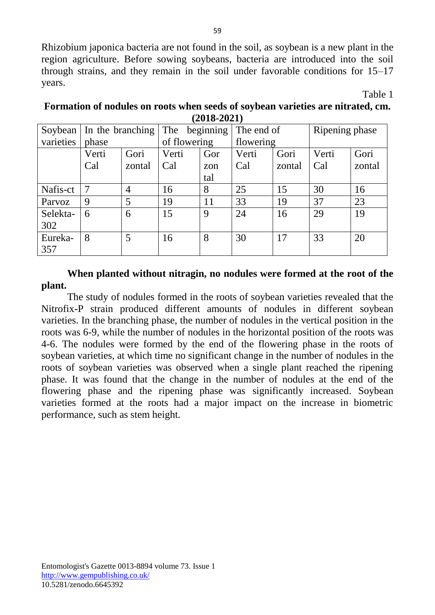Rhizobium japonica bacteria are not found in the soil, as soybean is a new plant in the region agriculture. Before sowing soybeans, bacteria are introduced into the soil through strains, and they remain in the soil under favorable conditions for 15–17 years.

Table 1

| \=V1V =V=1 |                            |        |                  |     |            |        |                |        |
|------------|----------------------------|--------|------------------|-----|------------|--------|----------------|--------|
|            | Soybean   In the branching |        | The<br>beginning |     | The end of |        | Ripening phase |        |
| varieties  | phase                      |        | of flowering     |     | flowering  |        |                |        |
|            | Verti                      | Gori   | Verti            | Gor | Verti      | Gori   | Verti          | Gori   |
|            | Cal                        | zontal | Cal              | zon | Cal        | zontal | Cal            | zontal |
|            |                            |        |                  | tal |            |        |                |        |
| Nafis-ct   | $\overline{7}$             | 4      | 16               | 8   | 25         | 15     | 30             | 16     |
| Parvoz     | 9                          | 5      | 19               | 11  | 33         | 19     | 37             | 23     |
| Selekta-   | 6                          | 6      | 15               | 9   | 24         | 16     | 29             | 19     |
| 302        |                            |        |                  |     |            |        |                |        |
| Eureka-    | 8                          | 5      | 16               | 8   | 30         | 17     | 33             | 20     |
| 357        |                            |        |                  |     |            |        |                |        |

### **Formation of nodules on roots when seeds of soybean varieties are nitrated, cm. (2018-2021)**

**When planted without nitragin, no nodules were formed at the root of the plant.**

The study of nodules formed in the roots of soybean varieties revealed that the Nitrofix-P strain produced different amounts of nodules in different soybean varieties. In the branching phase, the number of nodules in the vertical position in the roots was 6-9, while the number of nodules in the horizontal position of the roots was 4-6. The nodules were formed by the end of the flowering phase in the roots of soybean varieties, at which time no significant change in the number of nodules in the roots of soybean varieties was observed when a single plant reached the ripening phase. It was found that the change in the number of nodules at the end of the flowering phase and the ripening phase was significantly increased. Soybean varieties formed at the roots had a major impact on the increase in biometric performance, such as stem height.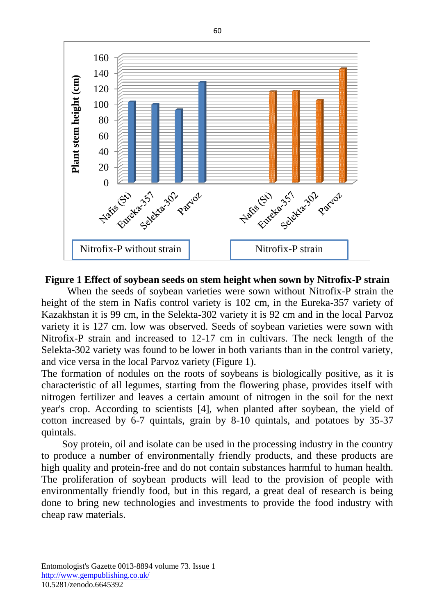

#### **Figure 1 Effect of soybean seeds on stem height when sown by Nitrofix-P strain**

When the seeds of soybean varieties were sown without Nitrofix-P strain the height of the stem in Nafis control variety is 102 cm, in the Eureka-357 variety of Kazakhstan it is 99 cm, in the Selekta-302 variety it is 92 cm and in the local Parvoz variety it is 127 cm. low was observed. Seeds of soybean varieties were sown with Nitrofix-P strain and increased to 12-17 cm in cultivars. The neck length of the Selekta-302 variety was found to be lower in both variants than in the control variety, and vice versa in the local Parvoz variety (Figure 1).

The formation of nodules on the roots of soybeans is biologically positive, as it is characteristic of all legumes, starting from the flowering phase, provides itself with nitrogen fertilizer and leaves a certain amount of nitrogen in the soil for the next year's crop. According to scientists [4], when planted after soybean, the yield of cotton increased by 6-7 quintals, grain by 8-10 quintals, and potatoes by 35-37 quintals.

Soy protein, oil and isolate can be used in the processing industry in the country to produce a number of environmentally friendly products, and these products are high quality and protein-free and do not contain substances harmful to human health. The proliferation of soybean products will lead to the provision of people with environmentally friendly food, but in this regard, a great deal of research is being done to bring new technologies and investments to provide the food industry with cheap raw materials.